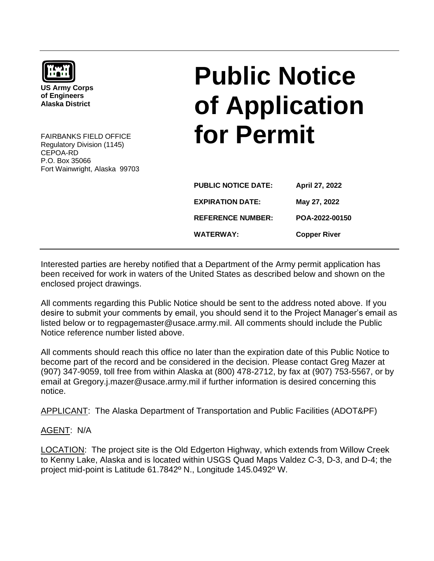

**US Army Corps of Engineers Alaska District**

FAIRBANKS FIELD OFFICE Regulatory Division (1145) CEPOA-RD P.O. Box 35066 Fort Wainwright, Alaska 99703

## **Public Notice of Application for Permit**

| <b>PUBLIC NOTICE DATE:</b> | April 27, 2022      |
|----------------------------|---------------------|
| <b>EXPIRATION DATE:</b>    | May 27, 2022        |
| <b>REFERENCE NUMBER:</b>   | POA-2022-00150      |
| <b>WATERWAY:</b>           | <b>Copper River</b> |

Interested parties are hereby notified that a Department of the Army permit application has been received for work in waters of the United States as described below and shown on the enclosed project drawings.

All comments regarding this Public Notice should be sent to the address noted above. If you desire to submit your comments by email, you should send it to the Project Manager's email as listed below or to regpagemaster@usace.army.mil. All comments should include the Public Notice reference number listed above.

All comments should reach this office no later than the expiration date of this Public Notice to become part of the record and be considered in the decision. Please contact Greg Mazer at (907) 347-9059, toll free from within Alaska at (800) 478-2712, by fax at (907) 753-5567, or by email at Gregory.j.mazer@usace.army.mil if further information is desired concerning this notice.

APPLICANT: The Alaska Department of Transportation and Public Facilities (ADOT&PF)

## AGENT: N/A

LOCATION: The project site is the Old Edgerton Highway, which extends from Willow Creek to Kenny Lake, Alaska and is located within USGS Quad Maps Valdez C-3, D-3, and D-4; the project mid-point is Latitude 61.7842º N., Longitude 145.0492º W.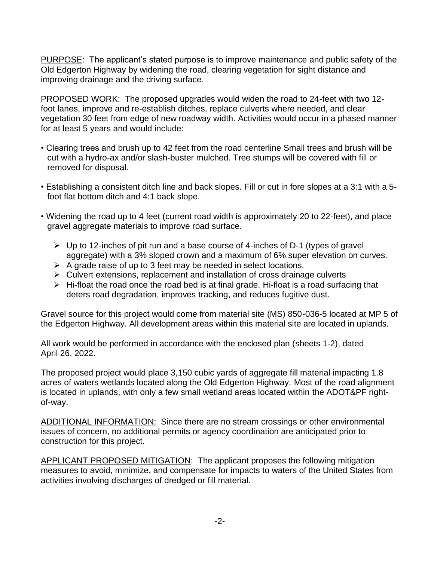PURPOSE: The applicant's stated purpose is to improve maintenance and public safety of the Old Edgerton Highway by widening the road, clearing vegetation for sight distance and improving drainage and the driving surface.

PROPOSED WORK: The proposed upgrades would widen the road to 24-feet with two 12 foot lanes, improve and re-establish ditches, replace culverts where needed, and clear vegetation 30 feet from edge of new roadway width. Activities would occur in a phased manner for at least 5 years and would include:

- Clearing trees and brush up to 42 feet from the road centerline Small trees and brush will be cut with a hydro-ax and/or slash-buster mulched. Tree stumps will be covered with fill or removed for disposal.
- Establishing a consistent ditch line and back slopes. Fill or cut in fore slopes at a 3:1 with a 5 foot flat bottom ditch and 4:1 back slope.
- Widening the road up to 4 feet (current road width is approximately 20 to 22-feet), and place gravel aggregate materials to improve road surface.
	- ➢ Up to 12-inches of pit run and a base course of 4-inches of D-1 (types of gravel aggregate) with a 3% sloped crown and a maximum of 6% super elevation on curves.
	- $\triangleright$  A grade raise of up to 3 feet may be needed in select locations.
	- ➢ Culvert extensions, replacement and installation of cross drainage culverts
	- $\triangleright$  Hi-float the road once the road bed is at final grade. Hi-float is a road surfacing that deters road degradation, improves tracking, and reduces fugitive dust.

Gravel source for this project would come from material site (MS) 850-036-5 located at MP 5 of the Edgerton Highway. All development areas within this material site are located in uplands.

All work would be performed in accordance with the enclosed plan (sheets 1-2), dated April 26, 2022.

The proposed project would place 3,150 cubic yards of aggregate fill material impacting 1.8 acres of waters wetlands located along the Old Edgerton Highway. Most of the road alignment is located in uplands, with only a few small wetland areas located within the ADOT&PF rightof-way.

ADDITIONAL INFORMATION: Since there are no stream crossings or other environmental issues of concern, no additional permits or agency coordination are anticipated prior to construction for this project.

APPLICANT PROPOSED MITIGATION: The applicant proposes the following mitigation measures to avoid, minimize, and compensate for impacts to waters of the United States from activities involving discharges of dredged or fill material.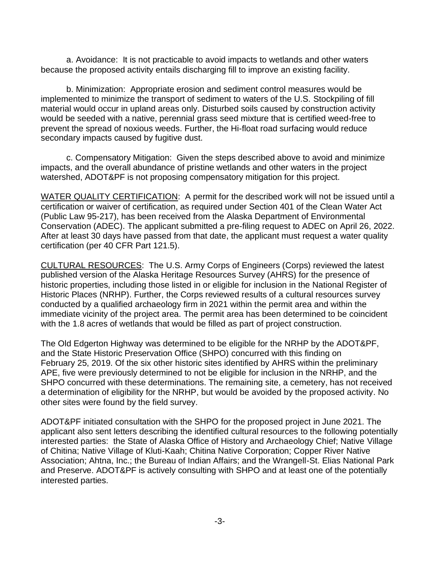a. Avoidance: It is not practicable to avoid impacts to wetlands and other waters because the proposed activity entails discharging fill to improve an existing facility.

b. Minimization: Appropriate erosion and sediment control measures would be implemented to minimize the transport of sediment to waters of the U.S. Stockpiling of fill material would occur in upland areas only. Disturbed soils caused by construction activity would be seeded with a native, perennial grass seed mixture that is certified weed-free to prevent the spread of noxious weeds. Further, the Hi-float road surfacing would reduce secondary impacts caused by fugitive dust.

c. Compensatory Mitigation: Given the steps described above to avoid and minimize impacts, and the overall abundance of pristine wetlands and other waters in the project watershed, ADOT&PF is not proposing compensatory mitigation for this project.

WATER QUALITY CERTIFICATION: A permit for the described work will not be issued until a certification or waiver of certification, as required under Section 401 of the Clean Water Act (Public Law 95-217), has been received from the Alaska Department of Environmental Conservation (ADEC). The applicant submitted a pre-filing request to ADEC on April 26, 2022. After at least 30 days have passed from that date, the applicant must request a water quality certification (per 40 CFR Part 121.5).

CULTURAL RESOURCES: The U.S. Army Corps of Engineers (Corps) reviewed the latest published version of the Alaska Heritage Resources Survey (AHRS) for the presence of historic properties, including those listed in or eligible for inclusion in the National Register of Historic Places (NRHP). Further, the Corps reviewed results of a cultural resources survey conducted by a qualified archaeology firm in 2021 within the permit area and within the immediate vicinity of the project area. The permit area has been determined to be coincident with the 1.8 acres of wetlands that would be filled as part of project construction.

The Old Edgerton Highway was determined to be eligible for the NRHP by the ADOT&PF, and the State Historic Preservation Office (SHPO) concurred with this finding on February 25, 2019. Of the six other historic sites identified by AHRS within the preliminary APE, five were previously determined to not be eligible for inclusion in the NRHP, and the SHPO concurred with these determinations. The remaining site, a cemetery, has not received a determination of eligibility for the NRHP, but would be avoided by the proposed activity. No other sites were found by the field survey.

ADOT&PF initiated consultation with the SHPO for the proposed project in June 2021. The applicant also sent letters describing the identified cultural resources to the following potentially interested parties: the State of Alaska Office of History and Archaeology Chief; Native Village of Chitina; Native Village of Kluti-Kaah; Chitina Native Corporation; Copper River Native Association; Ahtna, Inc.; the Bureau of Indian Affairs; and the Wrangell-St. Elias National Park and Preserve. ADOT&PF is actively consulting with SHPO and at least one of the potentially interested parties.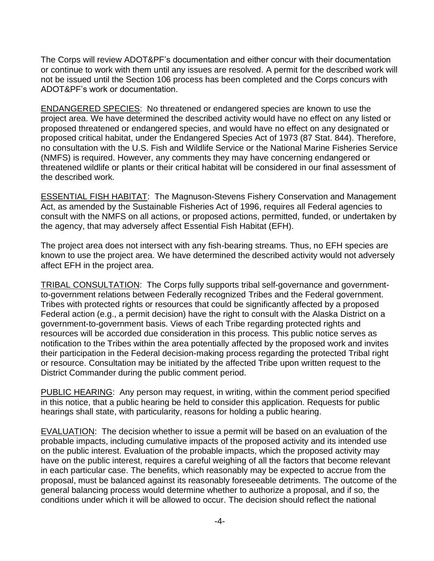The Corps will review ADOT&PF's documentation and either concur with their documentation or continue to work with them until any issues are resolved. A permit for the described work will not be issued until the Section 106 process has been completed and the Corps concurs with ADOT&PF's work or documentation.

ENDANGERED SPECIES: No threatened or endangered species are known to use the project area. We have determined the described activity would have no effect on any listed or proposed threatened or endangered species, and would have no effect on any designated or proposed critical habitat, under the Endangered Species Act of 1973 (87 Stat. 844). Therefore, no consultation with the U.S. Fish and Wildlife Service or the National Marine Fisheries Service (NMFS) is required. However, any comments they may have concerning endangered or threatened wildlife or plants or their critical habitat will be considered in our final assessment of the described work.

ESSENTIAL FISH HABITAT: The Magnuson-Stevens Fishery Conservation and Management Act, as amended by the Sustainable Fisheries Act of 1996, requires all Federal agencies to consult with the NMFS on all actions, or proposed actions, permitted, funded, or undertaken by the agency, that may adversely affect Essential Fish Habitat (EFH).

The project area does not intersect with any fish-bearing streams. Thus, no EFH species are known to use the project area. We have determined the described activity would not adversely affect EFH in the project area.

TRIBAL CONSULTATION: The Corps fully supports tribal self-governance and governmentto-government relations between Federally recognized Tribes and the Federal government. Tribes with protected rights or resources that could be significantly affected by a proposed Federal action (e.g., a permit decision) have the right to consult with the Alaska District on a government-to-government basis. Views of each Tribe regarding protected rights and resources will be accorded due consideration in this process. This public notice serves as notification to the Tribes within the area potentially affected by the proposed work and invites their participation in the Federal decision-making process regarding the protected Tribal right or resource. Consultation may be initiated by the affected Tribe upon written request to the District Commander during the public comment period.

PUBLIC HEARING: Any person may request, in writing, within the comment period specified in this notice, that a public hearing be held to consider this application. Requests for public hearings shall state, with particularity, reasons for holding a public hearing.

EVALUATION: The decision whether to issue a permit will be based on an evaluation of the probable impacts, including cumulative impacts of the proposed activity and its intended use on the public interest. Evaluation of the probable impacts, which the proposed activity may have on the public interest, requires a careful weighing of all the factors that become relevant in each particular case. The benefits, which reasonably may be expected to accrue from the proposal, must be balanced against its reasonably foreseeable detriments. The outcome of the general balancing process would determine whether to authorize a proposal, and if so, the conditions under which it will be allowed to occur. The decision should reflect the national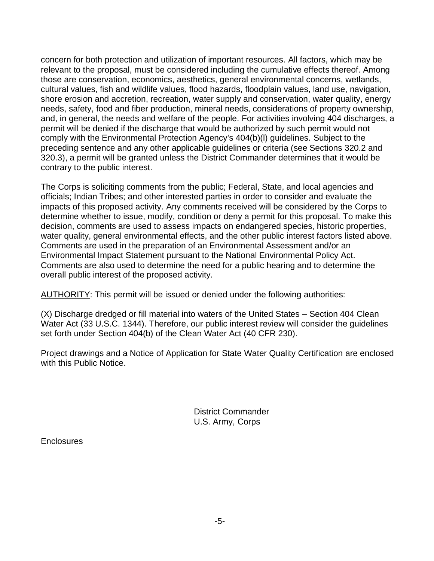concern for both protection and utilization of important resources. All factors, which may be relevant to the proposal, must be considered including the cumulative effects thereof. Among those are conservation, economics, aesthetics, general environmental concerns, wetlands, cultural values, fish and wildlife values, flood hazards, floodplain values, land use, navigation, shore erosion and accretion, recreation, water supply and conservation, water quality, energy needs, safety, food and fiber production, mineral needs, considerations of property ownership, and, in general, the needs and welfare of the people. For activities involving 404 discharges, a permit will be denied if the discharge that would be authorized by such permit would not comply with the Environmental Protection Agency's 404(b)(l) guidelines. Subject to the preceding sentence and any other applicable guidelines or criteria (see Sections 320.2 and 320.3), a permit will be granted unless the District Commander determines that it would be contrary to the public interest.

The Corps is soliciting comments from the public; Federal, State, and local agencies and officials; Indian Tribes; and other interested parties in order to consider and evaluate the impacts of this proposed activity. Any comments received will be considered by the Corps to determine whether to issue, modify, condition or deny a permit for this proposal. To make this decision, comments are used to assess impacts on endangered species, historic properties, water quality, general environmental effects, and the other public interest factors listed above. Comments are used in the preparation of an Environmental Assessment and/or an Environmental Impact Statement pursuant to the National Environmental Policy Act. Comments are also used to determine the need for a public hearing and to determine the overall public interest of the proposed activity.

AUTHORITY: This permit will be issued or denied under the following authorities:

(X) Discharge dredged or fill material into waters of the United States – Section 404 Clean Water Act (33 U.S.C. 1344). Therefore, our public interest review will consider the guidelines set forth under Section 404(b) of the Clean Water Act (40 CFR 230).

Project drawings and a Notice of Application for State Water Quality Certification are enclosed with this Public Notice.

> District Commander U.S. Army, Corps

**Enclosures**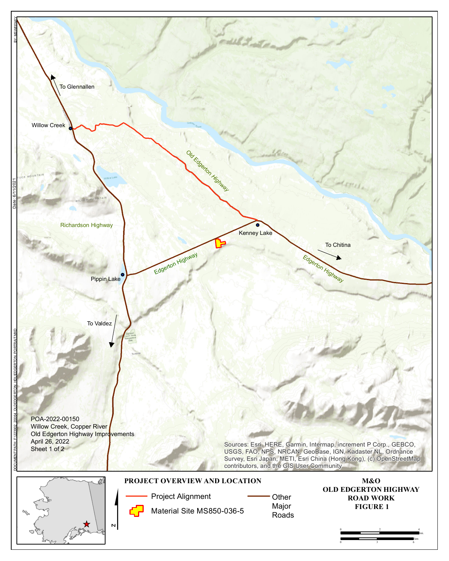